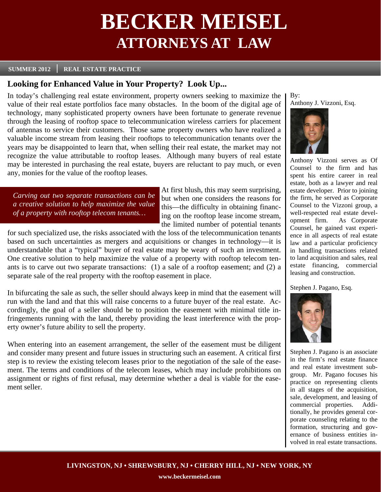# **BECKER MEISEL ATTORNEYS AT LAW**

#### **SUMMER 2012 REAL ESTATE PRACTICE**

## **Looking for Enhanced Value in Your Property? Look Up...**

In today's challenging real estate environment, property owners seeking to maximize the value of their real estate portfolios face many obstacles. In the boom of the digital age of technology, many sophisticated property owners have been fortunate to generate revenue through the leasing of rooftop space to telecommunication wireless carriers for placement of antennas to service their customers. Those same property owners who have realized a valuable income stream from leasing their rooftops to telecommunication tenants over the years may be disappointed to learn that, when selling their real estate, the market may not recognize the value attributable to rooftop leases. Although many buyers of real estate may be interested in purchasing the real estate, buyers are reluctant to pay much, or even any, monies for the value of the rooftop leases.

*Carving out two separate transactions can be a creative solution to help maximize the value of a property with rooftop telecom tenants…* 

At first blush, this may seem surprising, but when one considers the reasons for this—the difficulty in obtaining financing on the rooftop lease income stream, the limited number of potential tenants

for such specialized use, the risks associated with the loss of the telecommunication tenants based on such uncertainties as mergers and acquisitions or changes in technology—it is understandable that a "typical" buyer of real estate may be weary of such an investment. One creative solution to help maximize the value of a property with rooftop telecom tenants is to carve out two separate transactions: (1) a sale of a rooftop easement; and (2) a separate sale of the real property with the rooftop easement in place.

In bifurcating the sale as such, the seller should always keep in mind that the easement will run with the land and that this will raise concerns to a future buyer of the real estate. Accordingly, the goal of a seller should be to position the easement with minimal title infringements running with the land, thereby providing the least interference with the property owner's future ability to sell the property.

When entering into an easement arrangement, the seller of the easement must be diligent and consider many present and future issues in structuring such an easement. A critical first step is to review the existing telecom leases prior to the negotiation of the sale of the easement. The terms and conditions of the telecom leases, which may include prohibitions on assignment or rights of first refusal, may determine whether a deal is viable for the easement seller.

By: Anthony J. Vizzoni, Esq.



Anthony Vizzoni serves as Of Counsel to the firm and has spent his entire career in real estate, both as a lawyer and real estate developer. Prior to joining the firm, he served as Corporate Counsel to the Vizzoni group, a well-respected real estate development firm. As Corporate Counsel, he gained vast experience in all aspects of real estate law and a particular proficiency in handling transactions related to land acquisition and sales, real estate financing, commercial leasing and construction.

Stephen J. Pagano, Esq.



Stephen J. Pagano is an associate in the firm's real estate finance and real estate investment subgroup. Mr. Pagano focuses his practice on representing clients in all stages of the acquisition, sale, development, and leasing of commercial properties. Additionally, he provides general corporate counseling relating to the formation, structuring and governance of business entities involved in real estate transactions.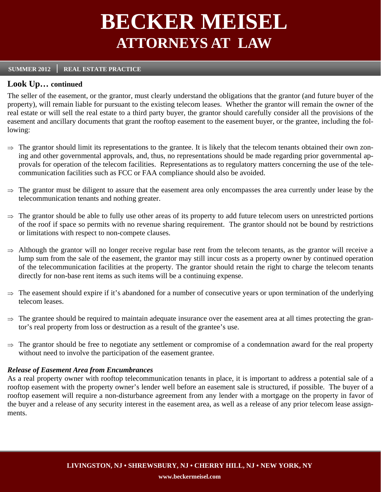# **BECKER MEISEL ATTORNEYS AT LAW**

#### **SUMMER 2012 REAL ESTATE PRACTICE**

### **Look Up… continued**

The seller of the easement, or the grantor, must clearly understand the obligations that the grantor (and future buyer of the property), will remain liable for pursuant to the existing telecom leases. Whether the grantor will remain the owner of the real estate or will sell the real estate to a third party buyer, the grantor should carefully consider all the provisions of the easement and ancillary documents that grant the rooftop easement to the easement buyer, or the grantee, including the following:

- $\Rightarrow$  The grantor should limit its representations to the grantee. It is likely that the telecom tenants obtained their own zoning and other governmental approvals, and, thus, no representations should be made regarding prior governmental approvals for operation of the telecom facilities. Representations as to regulatory matters concerning the use of the telecommunication facilities such as FCC or FAA compliance should also be avoided.
- $\Rightarrow$  The grantor must be diligent to assure that the easement area only encompasses the area currently under lease by the telecommunication tenants and nothing greater.
- $\Rightarrow$  The grantor should be able to fully use other areas of its property to add future telecom users on unrestricted portions of the roof if space so permits with no revenue sharing requirement. The grantor should not be bound by restrictions or limitations with respect to non-compete clauses.
- $\Rightarrow$  Although the grantor will no longer receive regular base rent from the telecom tenants, as the grantor will receive a lump sum from the sale of the easement, the grantor may still incur costs as a property owner by continued operation of the telecommunication facilities at the property. The grantor should retain the right to charge the telecom tenants directly for non-base rent items as such items will be a continuing expense.
- $\Rightarrow$  The easement should expire if it's abandoned for a number of consecutive years or upon termination of the underlying telecom leases.
- $\Rightarrow$  The grantee should be required to maintain adequate insurance over the easement area at all times protecting the grantor's real property from loss or destruction as a result of the grantee's use.
- $\Rightarrow$  The grantor should be free to negotiate any settlement or compromise of a condemnation award for the real property without need to involve the participation of the easement grantee.

### *Release of Easement Area from Encumbrances*

As a real property owner with rooftop telecommunication tenants in place, it is important to address a potential sale of a rooftop easement with the property owner's lender well before an easement sale is structured, if possible. The buyer of a rooftop easement will require a non-disturbance agreement from any lender with a mortgage on the property in favor of the buyer and a release of any security interest in the easement area, as well as a release of any prior telecom lease assignments.